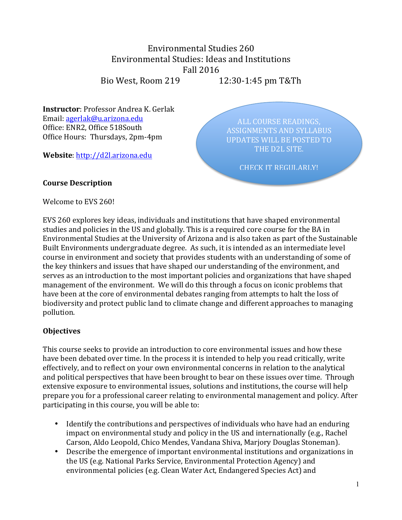# Environmental Studies 260 Environmental Studies: Ideas and Institutions Fall 2016

Bio West, Room 219 12:30-1:45 pm T&Th

**Instructor**: Professor Andrea K. Gerlak Email: agerlak@u.arizona.edu Office: ENR2, Office 518South Office Hours: Thursdays, 2pm-4pm

**Website**: http://d2l.arizona.edu

ALL COURSE READINGS, **ASSIGNMENTS AND SYLLABUS** UPDATES WILL BE POSTED TO THE D2L SITE.

CHECK IT REGULARLY!

#### **Course Description**

Welcome to EVS 260!

EVS 260 explores key ideas, individuals and institutions that have shaped environmental studies and policies in the US and globally. This is a required core course for the BA in Environmental Studies at the University of Arizona and is also taken as part of the Sustainable Built Environments undergraduate degree. As such, it is intended as an intermediate level course in environment and society that provides students with an understanding of some of the key thinkers and issues that have shaped our understanding of the environment, and serves as an introduction to the most important policies and organizations that have shaped management of the environment. We will do this through a focus on iconic problems that have been at the core of environmental debates ranging from attempts to halt the loss of biodiversity and protect public land to climate change and different approaches to managing pollution. 

## **Objectives**

This course seeks to provide an introduction to core environmental issues and how these have been debated over time. In the process it is intended to help you read critically, write effectively, and to reflect on your own environmental concerns in relation to the analytical and political perspectives that have been brought to bear on these issues over time. Through extensive exposure to environmental issues, solutions and institutions, the course will help prepare you for a professional career relating to environmental management and policy. After participating in this course, you will be able to:

- Identify the contributions and perspectives of individuals who have had an enduring impact on environmental study and policy in the US and internationally (e.g., Rachel Carson, Aldo Leopold, Chico Mendes, Vandana Shiva, Marjory Douglas Stoneman).
- Describe the emergence of important environmental institutions and organizations in the US (e.g. National Parks Service, Environmental Protection Agency) and environmental policies (e.g. Clean Water Act, Endangered Species Act) and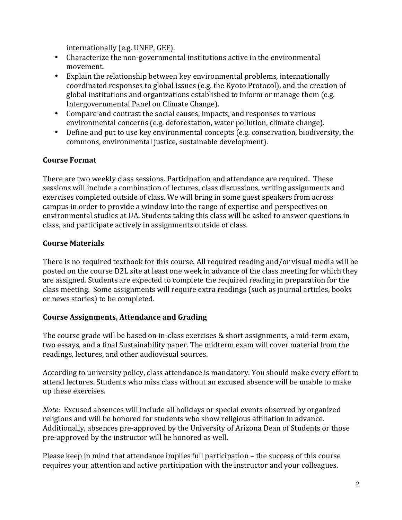internationally (e.g. UNEP, GEF).

- Characterize the non-governmental institutions active in the environmental movement.
- Explain the relationship between key environmental problems, internationally coordinated responses to global issues (e.g. the Kyoto Protocol), and the creation of global institutions and organizations established to inform or manage them (e.g. Intergovernmental Panel on Climate Change).
- Compare and contrast the social causes, impacts, and responses to various environmental concerns (e.g. deforestation, water pollution, climate change).
- Define and put to use key environmental concepts (e.g. conservation, biodiversity, the commons, environmental justice, sustainable development).

## **Course Format**

There are two weekly class sessions. Participation and attendance are required. These sessions will include a combination of lectures, class discussions, writing assignments and exercises completed outside of class. We will bring in some guest speakers from across campus in order to provide a window into the range of expertise and perspectives on environmental studies at UA. Students taking this class will be asked to answer questions in class, and participate actively in assignments outside of class.

# **Course Materials**

There is no required textbook for this course. All required reading and/or visual media will be posted on the course D2L site at least one week in advance of the class meeting for which they are assigned. Students are expected to complete the required reading in preparation for the class meeting. Some assignments will require extra readings (such as journal articles, books or news stories) to be completed.

## **Course Assignments, Attendance and Grading**

The course grade will be based on in-class exercises  $&$  short assignments, a mid-term exam, two essays, and a final Sustainability paper. The midterm exam will cover material from the readings, lectures, and other audiovisual sources.

According to university policy, class attendance is mandatory. You should make every effort to attend lectures. Students who miss class without an excused absence will be unable to make up these exercises.

*Note:* Excused absences will include all holidays or special events observed by organized religions and will be honored for students who show religious affiliation in advance. Additionally, absences pre-approved by the University of Arizona Dean of Students or those pre-approved by the instructor will be honored as well.

Please keep in mind that attendance implies full participation – the success of this course requires your attention and active participation with the instructor and your colleagues.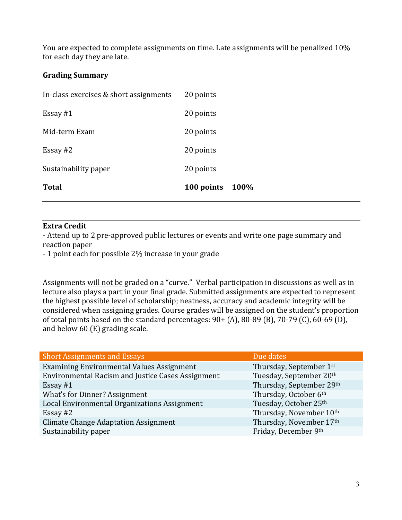You are expected to complete assignments on time. Late assignments will be penalized 10% for each day they are late.

#### **Grading Summary**

| In-class exercises & short assignments | 20 points          |
|----------------------------------------|--------------------|
| Essay $#1$                             | 20 points          |
| Mid-term Exam                          | 20 points          |
| Essay #2                               | 20 points          |
| Sustainability paper                   | 20 points          |
| <b>Total</b>                           | 100 points<br>100% |

#### **Extra Credit**

- Attend up to 2 pre-approved public lectures or events and write one page summary and reaction paper

- 1 point each for possible 2% increase in your grade

Assignments will not be graded on a "curve." Verbal participation in discussions as well as in lecture also plays a part in your final grade. Submitted assignments are expected to represent the highest possible level of scholarship; neatness, accuracy and academic integrity will be considered when assigning grades. Course grades will be assigned on the student's proportion of total points based on the standard percentages:  $90+$  (A),  $80-89$  (B),  $70-79$  (C),  $60-69$  (D), and below  $60$  (E) grading scale.

| <b>Short Assignments and Essays</b>                      | Due dates                |
|----------------------------------------------------------|--------------------------|
| Examining Environmental Values Assignment                | Thursday, September 1st  |
| <b>Environmental Racism and Justice Cases Assignment</b> | Tuesday, September 20th  |
| Essay $#1$                                               | Thursday, September 29th |
| What's for Dinner? Assignment                            | Thursday, October 6th    |
| Local Environmental Organizations Assignment             | Tuesday, October 25th    |
| Essay $#2$                                               | Thursday, November 10th  |
| <b>Climate Change Adaptation Assignment</b>              | Thursday, November 17th  |
| Sustainability paper                                     | Friday, December 9th     |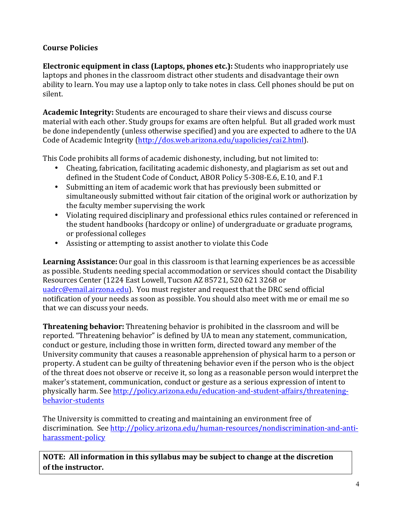# **Course Policies**

**Electronic equipment in class (Laptops, phones etc.):** Students who inappropriately use laptops and phones in the classroom distract other students and disadvantage their own ability to learn. You may use a laptop only to take notes in class. Cell phones should be put on silent. 

**Academic Integrity:** Students are encouraged to share their views and discuss course material with each other. Study groups for exams are often helpful. But all graded work must be done independently (unless otherwise specified) and you are expected to adhere to the UA Code of Academic Integrity (http://dos.web.arizona.edu/uapolicies/cai2.html).

This Code prohibits all forms of academic dishonesty, including, but not limited to:

- Cheating, fabrication, facilitating academic dishonesty, and plagiarism as set out and defined in the Student Code of Conduct, ABOR Policy 5-308-E.6, E.10, and F.1
- Submitting an item of academic work that has previously been submitted or simultaneously submitted without fair citation of the original work or authorization by the faculty member supervising the work
- Violating required disciplinary and professional ethics rules contained or referenced in the student handbooks (hardcopy or online) of undergraduate or graduate programs, or professional colleges
- Assisting or attempting to assist another to violate this Code

**Learning Assistance:** Our goal in this classroom is that learning experiences be as accessible as possible. Students needing special accommodation or services should contact the Disability Resources Center (1224 East Lowell, Tucson AZ 85721, 520 621 3268 or uadrc@email.airzona.edu). You must register and request that the DRC send official notification of your needs as soon as possible. You should also meet with me or email me so that we can discuss your needs.

**Threatening behavior:** Threatening behavior is prohibited in the classroom and will be reported. "Threatening behavior" is defined by UA to mean any statement, communication. conduct or gesture, including those in written form, directed toward any member of the University community that causes a reasonable apprehension of physical harm to a person or property. A student can be guilty of threatening behavior even if the person who is the object of the threat does not observe or receive it, so long as a reasonable person would interpret the maker's statement, communication, conduct or gesture as a serious expression of intent to physically harm. See http://policy.arizona.edu/education-and-student-affairs/threateningbehavior-students

The University is committed to creating and maintaining an environment free of discrimination. See http://policy.arizona.edu/human-resources/nondiscrimination-and-antiharassment-policy

**NOTE:** All information in this syllabus may be subject to change at the discretion of the instructor.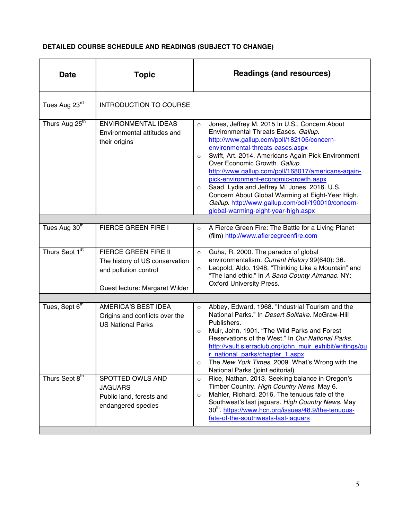# **DETAILED COURSE SCHEDULE AND READINGS (SUBJECT TO CHANGE)**

| <b>Date</b>                | <b>Topic</b>                                                                                                      | <b>Readings (and resources)</b>                                                                                                                                                                                                                                                                                                                                                                                                                                                                                                                                                                 |
|----------------------------|-------------------------------------------------------------------------------------------------------------------|-------------------------------------------------------------------------------------------------------------------------------------------------------------------------------------------------------------------------------------------------------------------------------------------------------------------------------------------------------------------------------------------------------------------------------------------------------------------------------------------------------------------------------------------------------------------------------------------------|
| Tues Aug 23rd              | <b>INTRODUCTION TO COURSE</b>                                                                                     |                                                                                                                                                                                                                                                                                                                                                                                                                                                                                                                                                                                                 |
| Thurs Aug 25 <sup>th</sup> | <b>ENVIRONMENTAL IDEAS</b><br>Environmental attitudes and<br>their origins                                        | Jones, Jeffrey M. 2015 In U.S., Concern About<br>$\circ$<br>Environmental Threats Eases. Gallup.<br>http://www.gallup.com/poll/182105/concern-<br>environmental-threats-eases.aspx<br>Swift, Art. 2014. Americans Again Pick Environment<br>$\circ$<br>Over Economic Growth. Gallup.<br>http://www.gallup.com/poll/168017/americans-again-<br>pick-environment-economic-growth.aspx<br>Saad, Lydia and Jeffrey M. Jones. 2016. U.S.<br>$\circ$<br>Concern About Global Warming at Eight-Year High.<br>Gallup. http://www.gallup.com/poll/190010/concern-<br>global-warming-eight-year-high.aspx |
|                            |                                                                                                                   |                                                                                                                                                                                                                                                                                                                                                                                                                                                                                                                                                                                                 |
| Tues Aug 30th              | <b>FIERCE GREEN FIRE I</b>                                                                                        | A Fierce Green Fire: The Battle for a Living Planet<br>$\circ$<br>(film) http://www.afiercegreenfire.com                                                                                                                                                                                                                                                                                                                                                                                                                                                                                        |
| Thurs Sept 1 <sup>st</sup> | FIERCE GREEN FIRE II<br>The history of US conservation<br>and pollution control<br>Guest lecture: Margaret Wilder | Guha, R. 2000. The paradox of global<br>$\circ$<br>environmentalism. Current History 99(640): 36.<br>Leopold, Aldo. 1948. "Thinking Like a Mountain" and<br>$\circ$<br>"The land ethic." In A Sand County Almanac. NY:<br><b>Oxford University Press.</b>                                                                                                                                                                                                                                                                                                                                       |
|                            |                                                                                                                   |                                                                                                                                                                                                                                                                                                                                                                                                                                                                                                                                                                                                 |
| Tues, Sept 6 <sup>th</sup> | AMERICA'S BEST IDEA<br>Origins and conflicts over the<br><b>US National Parks</b>                                 | Abbey, Edward. 1968. "Industrial Tourism and the<br>$\circ$<br>National Parks." In Desert Solitaire. McGraw-Hill<br>Publishers.<br>Muir, John. 1901. "The Wild Parks and Forest<br>$\circ$<br>Reservations of the West." In Our National Parks.<br>http://vault.sierraclub.org/john_muir_exhibit/writings/ou<br>r_national_parks/chapter_1.aspx<br>The New York Times. 2009. What's Wrong with the<br>$\circ$<br>National Parks (joint editorial)                                                                                                                                               |
| Thurs Sept 8 <sup>th</sup> | SPOTTED OWLS AND<br><b>JAGUARS</b><br>Public land, forests and<br>endangered species                              | Rice, Nathan. 2013. Seeking balance in Oregon's<br>$\circ$<br>Timber Country. High Country News. May 6.<br>Mahler, Richard. 2016. The tenuous fate of the<br>$\circ$<br>Southwest's last jaguars. High Country News. May<br>30 <sup>th</sup> . https://www.hcn.org/issues/48.9/the-tenuous-<br>fate-of-the-southwests-last-jaquars                                                                                                                                                                                                                                                              |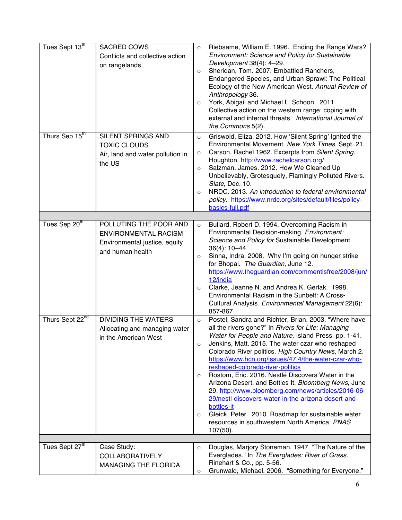| Tues Sept 13th              | <b>SACRED COWS</b><br>Conflicts and collective action<br>on rangelands                                     | $\circ$<br>$\circ$<br>$\circ$            | Riebsame, William E. 1996. Ending the Range Wars?<br>Environment: Science and Policy for Sustainable<br>Development 38(4): 4-29.<br>Sheridan, Tom. 2007. Embattled Ranchers,<br>Endangered Species, and Urban Sprawl: The Political<br>Ecology of the New American West. Annual Review of<br>Anthropology 36.<br>York, Abigail and Michael L. Schoon. 2011.<br>Collective action on the western range: coping with<br>external and internal threats. International Journal of<br>the Commons 5(2).                                                                                                                                                                                                                                       |
|-----------------------------|------------------------------------------------------------------------------------------------------------|------------------------------------------|------------------------------------------------------------------------------------------------------------------------------------------------------------------------------------------------------------------------------------------------------------------------------------------------------------------------------------------------------------------------------------------------------------------------------------------------------------------------------------------------------------------------------------------------------------------------------------------------------------------------------------------------------------------------------------------------------------------------------------------|
| Thurs Sep 15th              | SILENT SPRINGS AND<br><b>TOXIC CLOUDS</b><br>Air, land and water pollution in<br>the US                    | $\circ$<br>$\circ$<br>$\circ$<br>$\circ$ | Griswold, Eliza. 2012. How 'Silent Spring' Ignited the<br>Environmental Movement. New York Times, Sept. 21.<br>Carson, Rachel 1962. Excerpts from Silent Spring.<br>Houghton. http://www.rachelcarson.org/<br>Salzman, James. 2012. How We Cleaned Up<br>Unbelievably, Grotesquely, Flamingly Polluted Rivers.<br>Slate, Dec. 10.<br>NRDC. 2013. An introduction to federal environmental<br>policy. https://www.nrdc.org/sites/default/files/policy-<br>basics-full.pdf                                                                                                                                                                                                                                                                 |
|                             |                                                                                                            |                                          |                                                                                                                                                                                                                                                                                                                                                                                                                                                                                                                                                                                                                                                                                                                                          |
| Tues Sep 20 <sup>th</sup>   | POLLUTING THE POOR AND<br><b>ENVIRONMENTAL RACISM</b><br>Environmental justice, equity<br>and human health | $\circ$<br>$\circ$<br>$\circ$            | Bullard, Robert D. 1994. Overcoming Racism in<br>Environmental Decision-making. Environment:<br>Science and Policy for Sustainable Development<br>$36(4): 10-44.$<br>Sinha, Indra. 2008. Why I'm going on hunger strike<br>for Bhopal. The Guardian, June 12.<br>https://www.theguardian.com/commentisfree/2008/jun/<br>12/india<br>Clarke, Jeanne N. and Andrea K. Gerlak. 1998.<br>Environmental Racism in the Sunbelt: A Cross-<br>Cultural Analysis. Environmental Management 22(6):<br>857-867.                                                                                                                                                                                                                                     |
| Thurs Sept 22 <sup>nd</sup> | <b>DIVIDING THE WATERS</b><br>Allocating and managing water<br>in the American West                        | $\circ$<br>$\circ$<br>$\circ$<br>$\circ$ | Postel, Sandra and Richter, Brian. 2003. "Where have<br>all the rivers gone?" In Rivers for Life: Managing<br>Water for People and Nature. Island Press, pp. 1-41.<br>Jenkins, Matt. 2015. The water czar who reshaped<br>Colorado River politics. High Country News, March 2.<br>https://www.hcn.org/issues/47.4/the-water-czar-who-<br>reshaped-colorado-river-politics<br>Rostom, Eric. 2016. Nestlé Discovers Water in the<br>Arizona Desert, and Bottles It. Bloomberg News, June<br>29. http://www.bloomberg.com/news/articles/2016-06-<br>29/nestl-discovers-water-in-the-arizona-desert-and-<br>bottles-it<br>Gleick, Peter. 2010. Roadmap for sustainable water<br>resources in southwestern North America. PNAS<br>$107(50)$ . |
|                             |                                                                                                            |                                          |                                                                                                                                                                                                                                                                                                                                                                                                                                                                                                                                                                                                                                                                                                                                          |
| Tues Sept 27th              | Case Study:<br><b>COLLABORATIVELY</b><br><b>MANAGING THE FLORIDA</b>                                       | $\circ$<br>$\circ$                       | Douglas, Marjory Stoneman. 1947. "The Nature of the<br>Everglades." In The Everglades: River of Grass.<br>Rinehart & Co., pp. 5-56.<br>Grunwald, Michael. 2006. "Something for Everyone."                                                                                                                                                                                                                                                                                                                                                                                                                                                                                                                                                |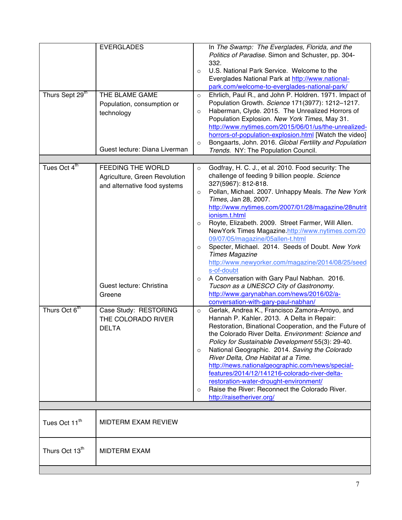| Thurs Sept 29 <sup>th</sup> | <b>EVERGLADES</b><br>THE BLAME GAME<br>Population, consumption or<br>technology<br>Guest lecture: Diana Liverman                | $\circ$<br>$\circ$<br>$\circ$<br>$\circ$            | In The Swamp: The Everglades, Florida, and the<br>Politics of Paradise. Simon and Schuster, pp. 304-<br>332.<br>U.S. National Park Service. Welcome to the<br>Everglades National Park at http://www.national-<br>park.com/welcome-to-everglades-national-park/<br>Ehrlich, Paul R., and John P. Holdren. 1971. Impact of<br>Population Growth. Science 171(3977): 1212-1217.<br>Haberman, Clyde. 2015. The Unrealized Horrors of<br>Population Explosion. New York Times, May 31.<br>http://www.nytimes.com/2015/06/01/us/the-unrealized-<br>horrors-of-population-explosion.html [Watch the video]<br>Bongaarts, John. 2016. Global Fertility and Population<br>Trends. NY: The Population Council.                                                        |
|-----------------------------|---------------------------------------------------------------------------------------------------------------------------------|-----------------------------------------------------|--------------------------------------------------------------------------------------------------------------------------------------------------------------------------------------------------------------------------------------------------------------------------------------------------------------------------------------------------------------------------------------------------------------------------------------------------------------------------------------------------------------------------------------------------------------------------------------------------------------------------------------------------------------------------------------------------------------------------------------------------------------|
|                             |                                                                                                                                 |                                                     |                                                                                                                                                                                                                                                                                                                                                                                                                                                                                                                                                                                                                                                                                                                                                              |
| Tues Oct $4th$              | <b>FEEDING THE WORLD</b><br>Agriculture, Green Revolution<br>and alternative food systems<br>Guest lecture: Christina<br>Greene | $\circ$<br>$\circ$<br>$\circ$<br>$\circ$<br>$\circ$ | Godfray, H. C. J., et al. 2010. Food security: The<br>challenge of feeding 9 billion people. Science<br>327(5967): 812-818.<br>Pollan, Michael. 2007. Unhappy Meals. The New York<br>Times, Jan 28, 2007.<br>http://www.nytimes.com/2007/01/28/magazine/28nutrit<br>ionism.t.html<br>Royte, Elizabeth. 2009. Street Farmer, Will Allen.<br>NewYork Times Magazine.http://www.nytimes.com/20<br>09/07/05/magazine/05allen-t.html<br>Specter, Michael. 2014. Seeds of Doubt. New York<br><b>Times Magazine</b><br>http://www.newyorker.com/magazine/2014/08/25/seed<br>s-of-doubt<br>A Conversation with Gary Paul Nabhan. 2016.<br>Tucson as a UNESCO City of Gastronomy.<br>http://www.garynabhan.com/news/2016/02/a-<br>conversation-with-gary-paul-nabhan/ |
| Thurs Oct 6 <sup>th</sup>   | Case Study: RESTORING<br>THE COLORADO RIVER<br><b>DELTA</b>                                                                     | $\circ$<br>$\circ$<br>$\circ$                       | Gerlak, Andrea K., Francisco Zamora-Arroyo, and<br>Hannah P. Kahler. 2013. A Delta in Repair:<br>Restoration, Binational Cooperation, and the Future of<br>the Colorado River Delta. Environment: Science and<br>Policy for Sustainable Development 55(3): 29-40.<br>National Geographic. 2014. Saving the Colorado<br>River Delta, One Habitat at a Time.<br>http://news.nationalgeographic.com/news/special-<br>features/2014/12/141216-colorado-river-delta-<br>restoration-water-drought-environment/<br>Raise the River: Reconnect the Colorado River.<br>http://raisetheriver.org/                                                                                                                                                                     |
|                             |                                                                                                                                 |                                                     |                                                                                                                                                                                                                                                                                                                                                                                                                                                                                                                                                                                                                                                                                                                                                              |
| Tues Oct 11 <sup>th</sup>   | <b>MIDTERM EXAM REVIEW</b>                                                                                                      |                                                     |                                                                                                                                                                                                                                                                                                                                                                                                                                                                                                                                                                                                                                                                                                                                                              |
| Thurs Oct 13 <sup>th</sup>  | <b>MIDTERM EXAM</b>                                                                                                             |                                                     |                                                                                                                                                                                                                                                                                                                                                                                                                                                                                                                                                                                                                                                                                                                                                              |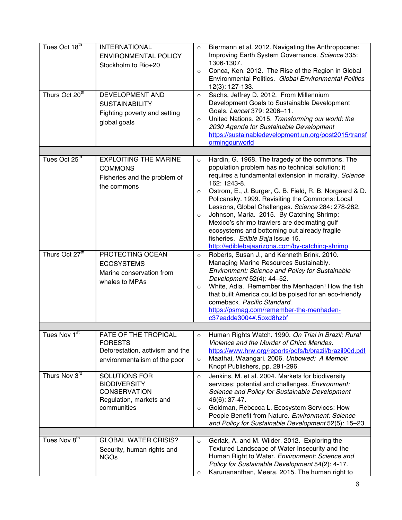| Tues Oct 18 <sup>th</sup><br>Thurs Oct 20 <sup>th</sup> | <b>INTERNATIONAL</b><br><b>ENVIRONMENTAL POLICY</b><br>Stockholm to Rio+20<br>DEVELOPMENT AND<br><b>SUSTAINABILITY</b><br>Fighting poverty and setting<br>global goals               | $\circ$<br>$\circ$<br>$\circ$<br>$\circ$ | Biermann et al. 2012. Navigating the Anthropocene:<br>Improving Earth System Governance. Science 335:<br>1306-1307.<br>Conca, Ken. 2012. The Rise of the Region in Global<br>Environmental Politics. Global Environmental Politics<br>12(3): 127-133.<br>Sachs, Jeffrey D. 2012. From Millennium<br>Development Goals to Sustainable Development<br>Goals. Lancet 379: 2206-11.<br>United Nations. 2015. Transforming our world: the<br>2030 Agenda for Sustainable Development<br>https://sustainabledevelopment.un.org/post2015/transf<br>ormingourworld                                                                                                                                                                                                    |
|---------------------------------------------------------|--------------------------------------------------------------------------------------------------------------------------------------------------------------------------------------|------------------------------------------|---------------------------------------------------------------------------------------------------------------------------------------------------------------------------------------------------------------------------------------------------------------------------------------------------------------------------------------------------------------------------------------------------------------------------------------------------------------------------------------------------------------------------------------------------------------------------------------------------------------------------------------------------------------------------------------------------------------------------------------------------------------|
|                                                         |                                                                                                                                                                                      |                                          |                                                                                                                                                                                                                                                                                                                                                                                                                                                                                                                                                                                                                                                                                                                                                               |
| Tues Oct 25 <sup>th</sup><br>Thurs Oct 27 <sup>th</sup> | <b>EXPLOITING THE MARINE</b><br><b>COMMONS</b><br>Fisheries and the problem of<br>the commons<br>PROTECTING OCEAN<br><b>ECOSYSTEMS</b><br>Marine conservation from<br>whales to MPAs | $\circ$<br>$\circ$<br>$\circ$<br>$\circ$ | Hardin, G. 1968. The tragedy of the commons. The<br>population problem has no technical solution; it<br>requires a fundamental extension in morality. Science<br>162: 1243-8.<br>Ostrom, E., J. Burger, C. B. Field, R. B. Norgaard & D.<br>Policansky. 1999. Revisiting the Commons: Local<br>Lessons, Global Challenges. Science 284: 278-282.<br>Johnson, Maria. 2015. By Catching Shrimp:<br>Mexico's shrimp trawlers are decimating gulf<br>ecosystems and bottoming out already fragile<br>fisheries. Edible Baja Issue 15.<br>http://ediblebajaarizona.com/by-catching-shrimp<br>Roberts, Susan J., and Kenneth Brink. 2010.<br>Managing Marine Resources Sustainably.<br>Environment: Science and Policy for Sustainable<br>Development 52(4): 44-52. |
|                                                         |                                                                                                                                                                                      | $\circ$                                  | White, Adia. Remember the Menhaden! How the fish<br>that built America could be poised for an eco-friendly<br>comeback. Pacific Standard.<br>https://psmag.com/remember-the-menhaden-<br>c37eadde3004#.5bxd8hzbf                                                                                                                                                                                                                                                                                                                                                                                                                                                                                                                                              |
| Tues Nov 1 <sup>st</sup>                                |                                                                                                                                                                                      |                                          |                                                                                                                                                                                                                                                                                                                                                                                                                                                                                                                                                                                                                                                                                                                                                               |
|                                                         | FATE OF THE TROPICAL<br><b>FORESTS</b><br>Deforestation, activism and the<br>environmentalism of the poor                                                                            | $\circ$                                  | Human Rights Watch. 1990. On Trial in Brazil: Rural<br>Violence and the Murder of Chico Mendes.<br>https://www.hrw.org/reports/pdfs/b/brazil/brazil90d.pdf<br>Maathai, Waangari. 2006. Unbowed: A Memoir.<br>Knopf Publishers, pp. 291-296.                                                                                                                                                                                                                                                                                                                                                                                                                                                                                                                   |
| Thurs Nov 3rd                                           | SOLUTIONS FOR<br><b>BIODIVERSITY</b><br><b>CONSERVATION</b><br>Regulation, markets and<br>communities                                                                                | $\circ$<br>$\circ$                       | Jenkins, M. et al. 2004. Markets for biodiversity<br>services: potential and challenges. Environment:<br>Science and Policy for Sustainable Development<br>46(6): 37-47.<br>Goldman, Rebecca L. Ecosystem Services: How<br>People Benefit from Nature. Environment: Science<br>and Policy for Sustainable Development 52(5): 15-23.                                                                                                                                                                                                                                                                                                                                                                                                                           |
| Tues Nov $8^{\text{th}}$                                |                                                                                                                                                                                      |                                          |                                                                                                                                                                                                                                                                                                                                                                                                                                                                                                                                                                                                                                                                                                                                                               |
|                                                         | <b>GLOBAL WATER CRISIS?</b><br>Security, human rights and<br><b>NGOs</b>                                                                                                             | $\circ$<br>$\circ$                       | Gerlak, A. and M. Wilder. 2012. Exploring the<br>Textured Landscape of Water Insecurity and the<br>Human Right to Water. Environment: Science and<br>Policy for Sustainable Development 54(2): 4-17.<br>Karunananthan, Meera. 2015. The human right to                                                                                                                                                                                                                                                                                                                                                                                                                                                                                                        |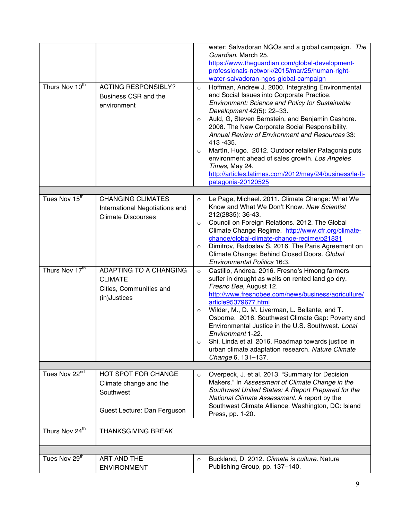| Thurs Nov 10th                              | <b>ACTING RESPONSIBLY?</b><br>Business CSR and the<br>environment                                                                                                              | $\circ$<br>$\circ$<br>$\circ$            | water: Salvadoran NGOs and a global campaign. The<br>Guardian. March 25.<br>https://www.theguardian.com/global-development-<br>professionals-network/2015/mar/25/human-right-<br>water-salvadoran-ngos-global-campaign<br>Hoffman, Andrew J. 2000. Integrating Environmental<br>and Social Issues into Corporate Practice.<br>Environment: Science and Policy for Sustainable<br>Development 42(5): 22-33.<br>Auld, G, Steven Bernstein, and Benjamin Cashore.<br>2008. The New Corporate Social Responsibility.<br>Annual Review of Environment and Resources 33:<br>413 - 435.<br>Martín, Hugo. 2012. Outdoor retailer Patagonia puts<br>environment ahead of sales growth. Los Angeles<br>Times, May 24.<br>http://articles.latimes.com/2012/may/24/business/la-fi-<br>patagonia-20120525 |
|---------------------------------------------|--------------------------------------------------------------------------------------------------------------------------------------------------------------------------------|------------------------------------------|----------------------------------------------------------------------------------------------------------------------------------------------------------------------------------------------------------------------------------------------------------------------------------------------------------------------------------------------------------------------------------------------------------------------------------------------------------------------------------------------------------------------------------------------------------------------------------------------------------------------------------------------------------------------------------------------------------------------------------------------------------------------------------------------|
|                                             |                                                                                                                                                                                |                                          |                                                                                                                                                                                                                                                                                                                                                                                                                                                                                                                                                                                                                                                                                                                                                                                              |
| Tues Nov 15 <sup>th</sup><br>Thurs Nov 17th | <b>CHANGING CLIMATES</b><br>International Negotiations and<br><b>Climate Discourses</b><br>ADAPTING TO A CHANGING<br><b>CLIMATE</b><br>Cities, Communities and<br>(in)Justices | $\circ$<br>$\circ$<br>$\circ$<br>$\circ$ | Le Page, Michael. 2011. Climate Change: What We<br>Know and What We Don't Know. New Scientist<br>212(2835): 36-43.<br>Council on Foreign Relations. 2012. The Global<br>Climate Change Regime. http://www.cfr.org/climate-<br>change/global-climate-change-regime/p21831<br>Dimitrov, Radoslav S. 2016. The Paris Agreement on<br>Climate Change: Behind Closed Doors. Global<br>Environmental Politics 16:3.<br>Castillo, Andrea. 2016. Fresno's Hmong farmers<br>suffer in drought as wells on rented land go dry.<br>Fresno Bee, August 12.<br>http://www.fresnobee.com/news/business/agriculture/                                                                                                                                                                                        |
|                                             |                                                                                                                                                                                | $\circ$<br>$\circ$                       | article95379677.html<br>Wilder, M., D. M. Liverman, L. Bellante, and T.<br>Osborne. 2016. Southwest Climate Gap: Poverty and<br>Environmental Justice in the U.S. Southwest. Local<br>Environment 1-22.<br>Shi, Linda et al. 2016. Roadmap towards justice in<br>urban climate adaptation research. Nature Climate<br>Change 6, 131-137.                                                                                                                                                                                                                                                                                                                                                                                                                                                     |
|                                             |                                                                                                                                                                                |                                          |                                                                                                                                                                                                                                                                                                                                                                                                                                                                                                                                                                                                                                                                                                                                                                                              |
| Tues Nov 22 <sup>nd</sup>                   | HOT SPOT FOR CHANGE<br>Climate change and the<br>Southwest                                                                                                                     | $\circ$                                  | Overpeck, J. et al. 2013. "Summary for Decision<br>Makers." In Assessment of Climate Change in the<br>Southwest United States: A Report Prepared for the<br>National Climate Assessment. A report by the                                                                                                                                                                                                                                                                                                                                                                                                                                                                                                                                                                                     |
|                                             | Guest Lecture: Dan Ferguson                                                                                                                                                    |                                          | Southwest Climate Alliance. Washington, DC: Island<br>Press, pp. 1-20.                                                                                                                                                                                                                                                                                                                                                                                                                                                                                                                                                                                                                                                                                                                       |
| Thurs Nov 24 <sup>th</sup>                  | <b>THANKSGIVING BREAK</b>                                                                                                                                                      |                                          |                                                                                                                                                                                                                                                                                                                                                                                                                                                                                                                                                                                                                                                                                                                                                                                              |
|                                             |                                                                                                                                                                                |                                          |                                                                                                                                                                                                                                                                                                                                                                                                                                                                                                                                                                                                                                                                                                                                                                                              |
| Tues Nov 29 <sup>th</sup>                   | ART AND THE<br><b>ENVIRONMENT</b>                                                                                                                                              | $\circ$                                  | Buckland, D. 2012. Climate is culture. Nature<br>Publishing Group, pp. 137-140.                                                                                                                                                                                                                                                                                                                                                                                                                                                                                                                                                                                                                                                                                                              |